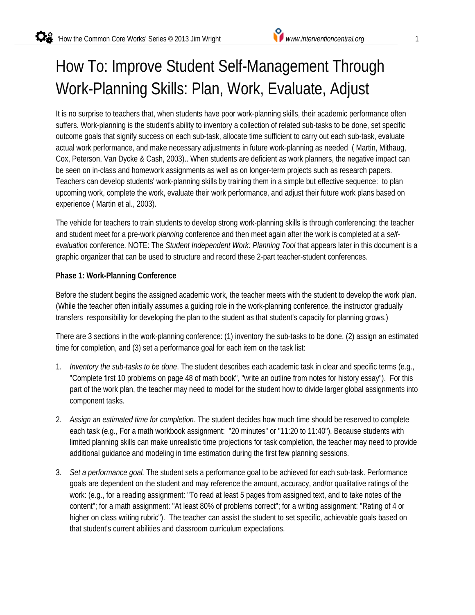## How To: Improve Student Self-Management Through Work-Planning Skills: Plan, Work, Evaluate, Adjust

It is no surprise to teachers that, when students have poor work-planning skills, their academic performance often suffers. Work-planning is the student's ability to inventory a collection of related sub-tasks to be done, set specific outcome goals that signify success on each sub-task, allocate time sufficient to carry out each sub-task, evaluate actual work performance, and make necessary adjustments in future work-planning as needed ( Martin, Mithaug, Cox, Peterson, Van Dycke & Cash, 2003).. When students are deficient as work planners, the negative impact can be seen on in-class and homework assignments as well as on longer-term projects such as research papers. Teachers can develop students' work-planning skills by training them in a simple but effective sequence: to plan upcoming work, complete the work, evaluate their work performance, and adjust their future work plans based on experience ( Martin et al., 2003).

The vehicle for teachers to train students to develop strong work-planning skills is through conferencing: the teacher and student meet for a pre-work *planning* conference and then meet again after the work is completed at a *selfevaluation* conference. NOTE: The *Student Independent Work: Planning Tool* that appears later in this document is a graphic organizer that can be used to structure and record these 2-part teacher-student conferences.

### **Phase 1: Work-Planning Conference**

Before the student begins the assigned academic work, the teacher meets with the student to develop the work plan. (While the teacher often initially assumes a guiding role in the work-planning conference, the instructor gradually transfers responsibility for developing the plan to the student as that student's capacity for planning grows.)

There are 3 sections in the work-planning conference: (1) inventory the sub-tasks to be done, (2) assign an estimated time for completion, and (3) set a performance goal for each item on the task list:

- 1. *Inventory the sub-tasks to be done*. The student describes each academic task in clear and specific terms (e.g., "Complete first 10 problems on page 48 of math book", "write an outline from notes for history essay"). For this part of the work plan, the teacher may need to model for the student how to divide larger global assignments into component tasks.
- 2. *Assign an estimated time for completion*. The student decides how much time should be reserved to complete each task (e.g., For a math workbook assignment: "20 minutes" or "11:20 to 11:40"). Because students with limited planning skills can make unrealistic time projections for task completion, the teacher may need to provide additional guidance and modeling in time estimation during the first few planning sessions.
- 3. *Set a performance goal.* The student sets a performance goal to be achieved for each sub-task. Performance goals are dependent on the student and may reference the amount, accuracy, and/or qualitative ratings of the work: (e.g., for a reading assignment: "To read at least 5 pages from assigned text, and to take notes of the content"; for a math assignment: "At least 80% of problems correct"; for a writing assignment: "Rating of 4 or higher on class writing rubric"). The teacher can assist the student to set specific, achievable goals based on that student's current abilities and classroom curriculum expectations.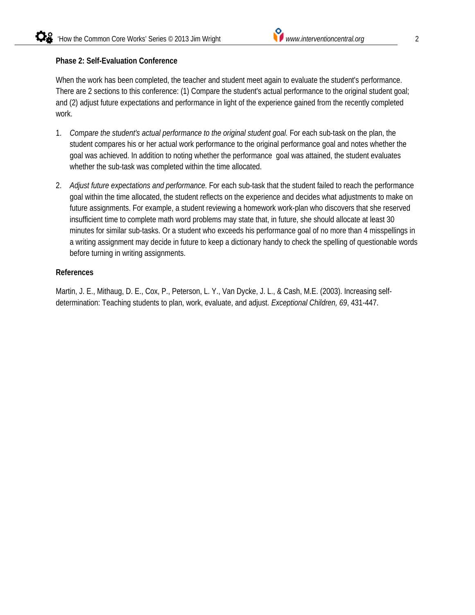#### **Phase 2: Self-Evaluation Conference**

When the work has been completed, the teacher and student meet again to evaluate the student's performance. There are 2 sections to this conference: (1) Compare the student's actual performance to the original student goal; and (2) adjust future expectations and performance in light of the experience gained from the recently completed work.

- 1. *Compare the student's actual performance to the original student goal.* For each sub-task on the plan, the student compares his or her actual work performance to the original performance goal and notes whether the goal was achieved. In addition to noting whether the performance goal was attained, the student evaluates whether the sub-task was completed within the time allocated.
- 2. *Adjust future expectations and performance*. For each sub-task that the student failed to reach the performance goal within the time allocated, the student reflects on the experience and decides what adjustments to make on future assignments. For example, a student reviewing a homework work-plan who discovers that she reserved insufficient time to complete math word problems may state that, in future, she should allocate at least 30 minutes for similar sub-tasks. Or a student who exceeds his performance goal of no more than 4 misspellings in a writing assignment may decide in future to keep a dictionary handy to check the spelling of questionable words before turning in writing assignments.

#### **References**

Martin, J. E., Mithaug, D. E., Cox, P., Peterson, L. Y., Van Dycke, J. L., & Cash, M.E. (2003). Increasing selfdetermination: Teaching students to plan, work, evaluate, and adjust. *Exceptional Children, 69*, 431-447.